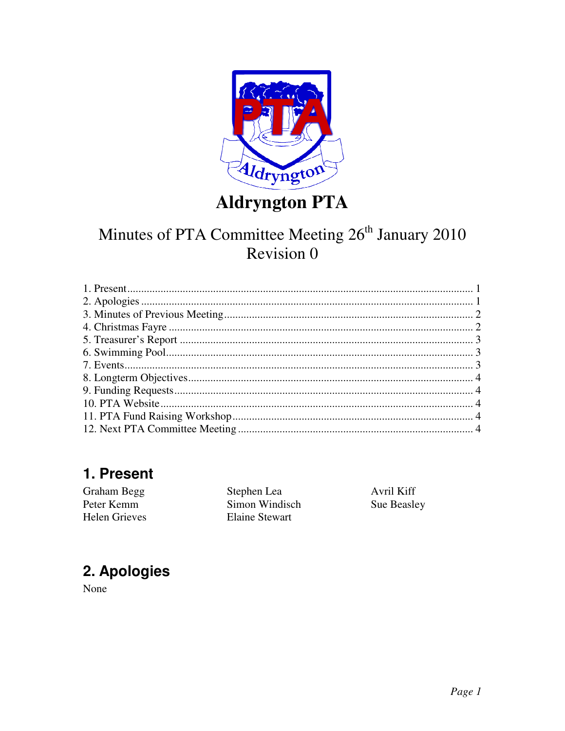

**Aldryngton PTA** 

# Minutes of PTA Committee Meeting 26<sup>th</sup> January 2010 Revision 0

# 1. Present

| Stephen Lea    | Avril Kiff  |
|----------------|-------------|
| Simon Windisch | Sue Beasley |
| Elaine Stewart |             |
|                |             |

# 2. Apologies

None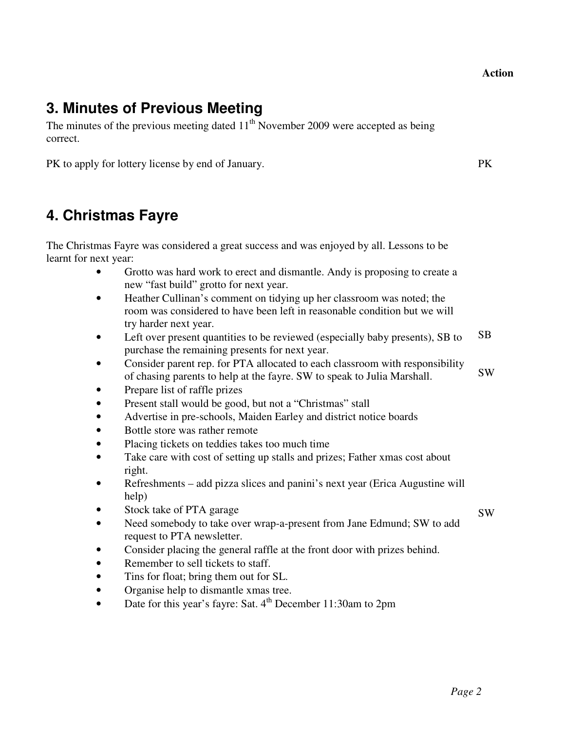#### **Action**

#### **3. Minutes of Previous Meeting**

The minutes of the previous meeting dated  $11<sup>th</sup>$  November 2009 were accepted as being correct.

PK to apply for lottery license by end of January. PK

#### **4. Christmas Fayre**

The Christmas Fayre was considered a great success and was enjoyed by all. Lessons to be learnt for next year:

- Grotto was hard work to erect and dismantle. Andy is proposing to create a new "fast build" grotto for next year.
- Heather Cullinan's comment on tidying up her classroom was noted; the room was considered to have been left in reasonable condition but we will try harder next year.
- Left over present quantities to be reviewed (especially baby presents), SB to purchase the remaining presents for next year. SB
- Consider parent rep. for PTA allocated to each classroom with responsibility of chasing parents to help at the fayre. SW to speak to Julia Marshall. SW
- Prepare list of raffle prizes
- Present stall would be good, but not a "Christmas" stall
- Advertise in pre-schools, Maiden Earley and district notice boards
- Bottle store was rather remote
- Placing tickets on teddies takes too much time
- Take care with cost of setting up stalls and prizes; Father xmas cost about right.
- Refreshments add pizza slices and panini's next year (Erica Augustine will help)
- Stock take of PTA garage
- Need somebody to take over wrap-a-present from Jane Edmund; SW to add request to PTA newsletter.
- Consider placing the general raffle at the front door with prizes behind.
- Remember to sell tickets to staff.
- Tins for float; bring them out for SL.
- Organise help to dismantle xmas tree.
- Date for this year's fayre: Sat.  $4<sup>th</sup>$  December 11:30am to 2pm

SW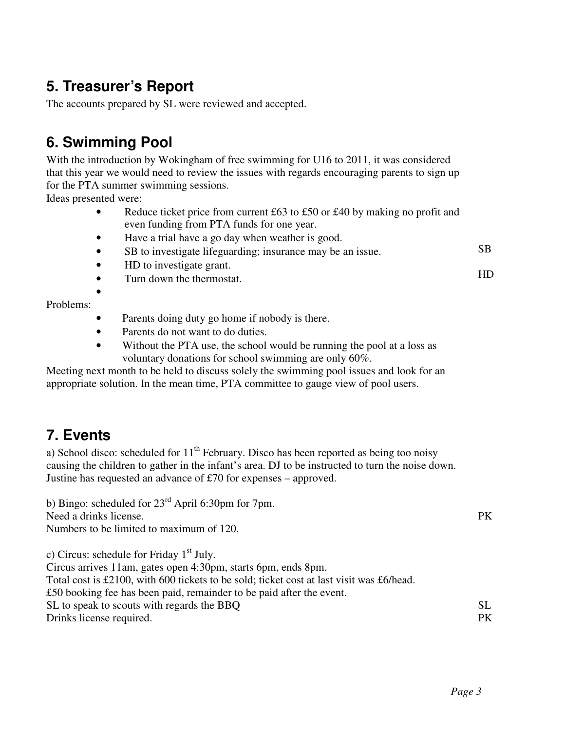#### **5. Treasurer's Report**

The accounts prepared by SL were reviewed and accepted.

# **6. Swimming Pool**

With the introduction by Wokingham of free swimming for U16 to 2011, it was considered that this year we would need to review the issues with regards encouraging parents to sign up for the PTA summer swimming sessions.

Ideas presented were:

- Reduce ticket price from current £63 to £50 or £40 by making no profit and even funding from PTA funds for one year.
- Have a trial have a go day when weather is good.
- SB to investigate lifeguarding; insurance may be an issue. SB
- HD to investigate grant.
- Turn down the thermostat.

•

Problems:

- Parents doing duty go home if nobody is there.
- Parents do not want to do duties.
- Without the PTA use, the school would be running the pool at a loss as voluntary donations for school swimming are only 60%.

Meeting next month to be held to discuss solely the swimming pool issues and look for an appropriate solution. In the mean time, PTA committee to gauge view of pool users.

#### **7. Events**

a) School disco: scheduled for  $11<sup>th</sup>$  February. Disco has been reported as being too noisy causing the children to gather in the infant's area. DJ to be instructed to turn the noise down. Justine has requested an advance of £70 for expenses – approved.

b) Bingo: scheduled for 23<sup>rd</sup> April 6:30pm for 7pm. Need a drinks license. Numbers to be limited to maximum of 120. c) Circus: schedule for Friday 1<sup>st</sup> July. Circus arrives 11am, gates open 4:30pm, starts 6pm, ends 8pm. Total cost is £2100, with 600 tickets to be sold; ticket cost at last visit was £6/head. £50 booking fee has been paid, remainder to be paid after the event. SL to speak to scouts with regards the BBQ Drinks license required. PK SL PK

HD